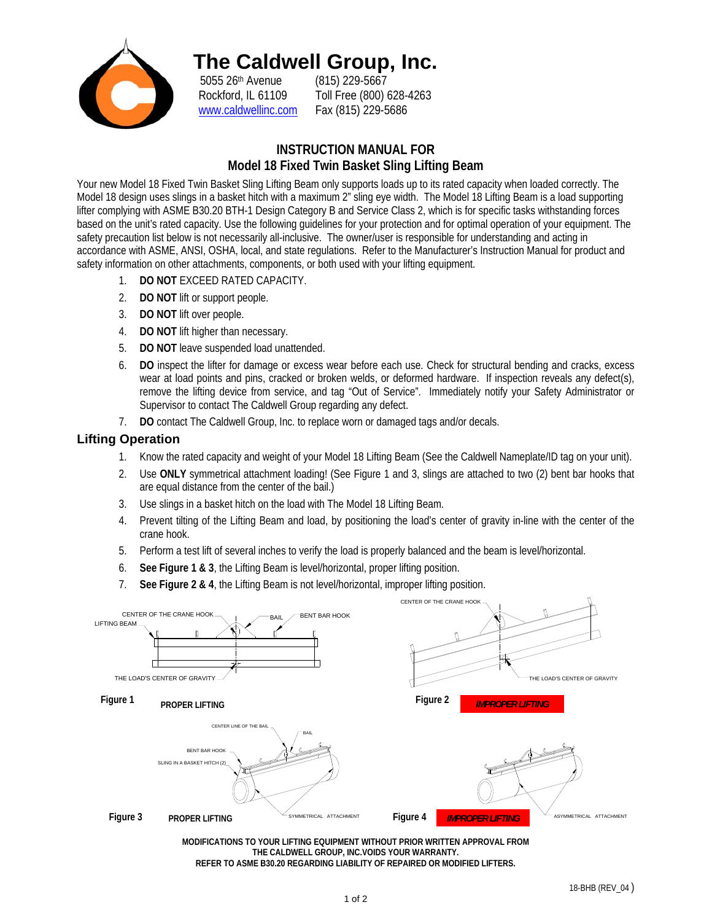

## **The Caldwell Group, Inc.**

5055 26th Avenue (815) 229-5667 www.caldwellinc.com Fax (815) 229-5686

Rockford, IL 61109 Toll Free (800) 628-4263

## **INSTRUCTION MANUAL FOR Model 18 Fixed Twin Basket Sling Lifting Beam**

Your new Model 18 Fixed Twin Basket Sling Lifting Beam only supports loads up to its rated capacity when loaded correctly. The Model 18 design uses slings in a basket hitch with a maximum 2" sling eye width. The Model 18 Lifting Beam is a load supporting lifter complying with ASME B30.20 BTH-1 Design Category B and Service Class 2, which is for specific tasks withstanding forces based on the unit's rated capacity. Use the following guidelines for your protection and for optimal operation of your equipment. The safety precaution list below is not necessarily all-inclusive. The owner/user is responsible for understanding and acting in accordance with ASME, ANSI, OSHA, local, and state regulations. Refer to the Manufacturer's Instruction Manual for product and safety information on other attachments, components, or both used with your lifting equipment.

- 1. **DO NOT** EXCEED RATED CAPACITY.
- 2. **DO NOT** lift or support people.
- 3. **DO NOT** lift over people.
- 4. **DO NOT** lift higher than necessary.
- 5. **DO NOT** leave suspended load unattended.
- 6. **DO** inspect the lifter for damage or excess wear before each use. Check for structural bending and cracks, excess wear at load points and pins, cracked or broken welds, or deformed hardware. If inspection reveals any defect(s), remove the lifting device from service, and tag "Out of Service". Immediately notify your Safety Administrator or Supervisor to contact The Caldwell Group regarding any defect.
- 7. **DO** contact The Caldwell Group, Inc. to replace worn or damaged tags and/or decals.

## **Lifting Operation**

- 1. Know the rated capacity and weight of your Model 18 Lifting Beam (See the Caldwell Nameplate/ID tag on your unit).
- 2. Use **ONLY** symmetrical attachment loading! (See Figure 1 and 3, slings are attached to two (2) bent bar hooks that are equal distance from the center of the bail.)
- 3. Use slings in a basket hitch on the load with The Model 18 Lifting Beam.
- 4. Prevent tilting of the Lifting Beam and load, by positioning the load's center of gravity in-line with the center of the crane hook.
- 5. Perform a test lift of several inches to verify the load is properly balanced and the beam is level/horizontal.
- 6. **See Figure 1 & 3**, the Lifting Beam is level/horizontal, proper lifting position.
- 7. **See Figure 2 & 4**, the Lifting Beam is not level/horizontal, improper lifting position.



**MODIFICATIONS TO YOUR LIFTING EQUIPMENT WITHOUT PRIOR WRITTEN APPROVAL FROM THE CALDWELL GROUP, INC.VOIDS YOUR WARRANTY. REFER TO ASME B30.20 REGARDING LIABILITY OF REPAIRED OR MODIFIED LIFTERS.**